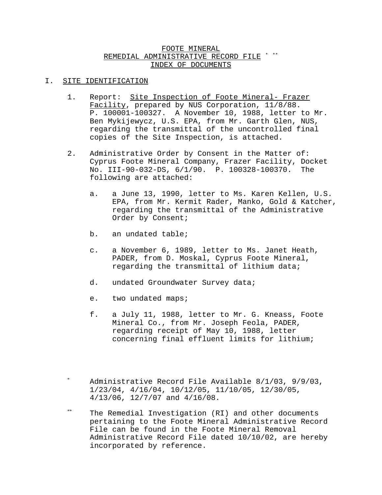# FOOTE MINERAL REMEDIAL ADMINISTRATIVE RECORD FILE INDEX OF DOCUMENTS

### I. SITE IDENTIFICATION

- 1. Report: Site Inspection of Foote Mineral- Frazer Facility, prepared by NUS Corporation, 11/8/88. P. 100001-100327. A November 10, 1988, letter to Mr. Ben Mykijewycz, U.S. EPA, from Mr. Garth Glen, NUS, regarding the transmittal of the uncontrolled final copies of the Site Inspection, is attached.
- 2. Administrative Order by Consent in the Matter of: Cyprus Foote Mineral Company, Frazer Facility, Docket No. III-90-032-DS, 6/1/90. P. 100328-100370. The following are attached:
	- a. a June 13, 1990, letter to Ms. Karen Kellen, U.S. EPA, from Mr. Kermit Rader, Manko, Gold & Katcher, regarding the transmittal of the Administrative Order by Consent;
	- b. an undated table;
	- c. a November 6, 1989, letter to Ms. Janet Heath, PADER, from D. Moskal, Cyprus Foote Mineral, regarding the transmittal of lithium data;
	- d. undated Groundwater Survey data;
	- e. two undated maps;
	- f. a July 11, 1988, letter to Mr. G. Kneass, Foote Mineral Co., from Mr. Joseph Feola, PADER, regarding receipt of May 10, 1988, letter concerning final effluent limits for lithium;
- Administrative Record File Available 8/1/03, 9/9/03, 1/23/04, 4/16/04, 10/12/05, 11/10/05, 12/30/05, 4/13/06, 12/7/07 and 4/16/08.
- \*\* The Remedial Investigation (RI) and other documents pertaining to the Foote Mineral Administrative Record File can be found in the Foote Mineral Removal Administrative Record File dated 10/10/02, are hereby incorporated by reference.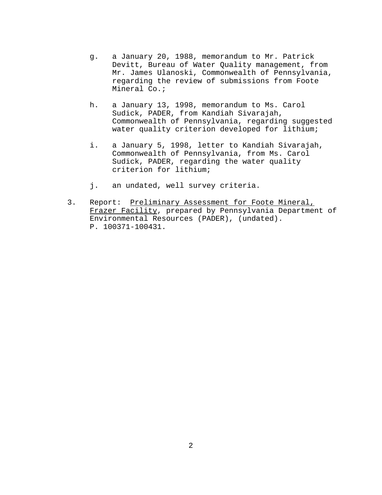- g. a January 20, 1988, memorandum to Mr. Patrick Devitt, Bureau of Water Quality management, from Mr. James Ulanoski, Commonwealth of Pennsylvania, regarding the review of submissions from Foote Mineral Co.;
- h. a January 13, 1998, memorandum to Ms. Carol Sudick, PADER, from Kandiah Sivarajah, Commonwealth of Pennsylvania, regarding suggested water quality criterion developed for lithium;
- i. a January 5, 1998, letter to Kandiah Sivarajah, Commonwealth of Pennsylvania, from Ms. Carol Sudick, PADER, regarding the water quality criterion for lithium;
- j. an undated, well survey criteria.
- 3. Report: Preliminary Assessment for Foote Mineral, Frazer Facility, prepared by Pennsylvania Department of Environmental Resources (PADER), (undated). P. 100371-100431.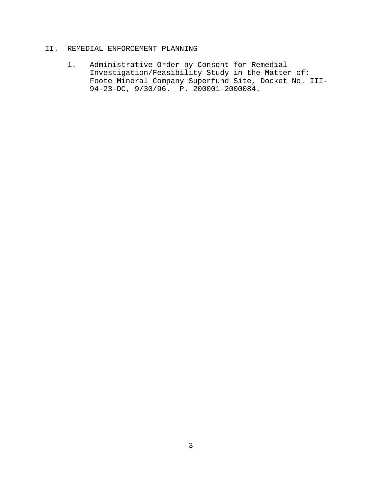# II. REMEDIAL ENFORCEMENT PLANNING

1. Administrative Order by Consent for Remedial Investigation/Feasibility Study in the Matter of: Foote Mineral Company Superfund Site, Docket No. III-94-23-DC, 9/30/96. P. 200001-2000084.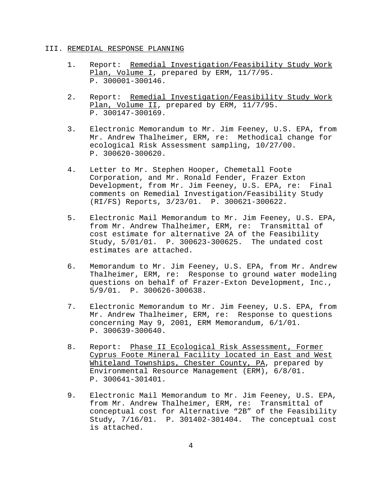### III. REMEDIAL RESPONSE PLANNING

- 1. Report: Remedial Investigation/Feasibility Study Work Plan, Volume I, prepared by ERM, 11/7/95. P. 300001-300146.
- 2. Report: Remedial Investigation/Feasibility Study Work Plan, Volume II, prepared by ERM, 11/7/95. P. 300147-300169.
- 3. Electronic Memorandum to Mr. Jim Feeney, U.S. EPA, from Mr. Andrew Thalheimer, ERM, re: Methodical change for ecological Risk Assessment sampling, 10/27/00. P. 300620-300620.
- 4. Letter to Mr. Stephen Hooper, Chemetall Foote Corporation, and Mr. Ronald Fender, Frazer Exton Development, from Mr. Jim Feeney, U.S. EPA, re: Final comments on Remedial Investigation/Feasibility Study (RI/FS) Reports, 3/23/01. P. 300621-300622.
- 5. Electronic Mail Memorandum to Mr. Jim Feeney, U.S. EPA, from Mr. Andrew Thalheimer, ERM, re: Transmittal of cost estimate for alternative 2A of the Feasibility Study, 5/01/01. P. 300623-300625. The undated cost estimates are attached.
- 6. Memorandum to Mr. Jim Feeney, U.S. EPA, from Mr. Andrew Thalheimer, ERM, re: Response to ground water modeling questions on behalf of Frazer-Exton Development, Inc., 5/9/01. P. 300626-300638.
- 7. Electronic Memorandum to Mr. Jim Feeney, U.S. EPA, from Mr. Andrew Thalheimer, ERM, re: Response to questions concerning May 9, 2001, ERM Memorandum, 6/1/01. P. 300639-300640.
- 8. Report: Phase II Ecological Risk Assessment, Former Cyprus Foote Mineral Facility located in East and West Whiteland Townships, Chester County, PA, prepared by Environmental Resource Management (ERM), 6/8/01. P. 300641-301401.
- 9. Electronic Mail Memorandum to Mr. Jim Feeney, U.S. EPA, from Mr. Andrew Thalheimer, ERM, re: Transmittal of conceptual cost for Alternative "2B" of the Feasibility Study, 7/16/01. P. 301402-301404. The conceptual cost is attached.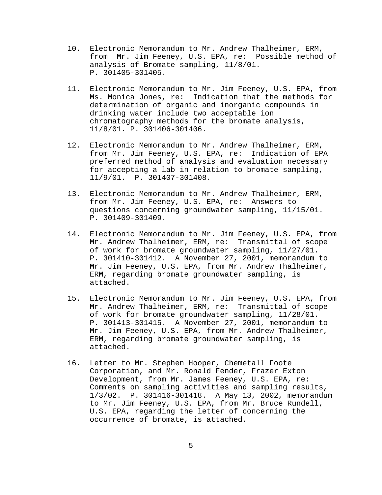- 10. Electronic Memorandum to Mr. Andrew Thalheimer, ERM, from Mr. Jim Feeney, U.S. EPA, re: Possible method of analysis of Bromate sampling, 11/8/01. P. 301405-301405.
- 11. Electronic Memorandum to Mr. Jim Feeney, U.S. EPA, from Ms. Monica Jones, re: Indication that the methods for determination of organic and inorganic compounds in drinking water include two acceptable ion chromatography methods for the bromate analysis, 11/8/01. P. 301406-301406.
- 12. Electronic Memorandum to Mr. Andrew Thalheimer, ERM, from Mr. Jim Feeney, U.S. EPA, re: Indication of EPA preferred method of analysis and evaluation necessary for accepting a lab in relation to bromate sampling, 11/9/01. P. 301407-301408.
- 13. Electronic Memorandum to Mr. Andrew Thalheimer, ERM, from Mr. Jim Feeney, U.S. EPA, re: Answers to questions concerning groundwater sampling, 11/15/01. P. 301409-301409.
- 14. Electronic Memorandum to Mr. Jim Feeney, U.S. EPA, from Mr. Andrew Thalheimer, ERM, re: Transmittal of scope of work for bromate groundwater sampling, 11/27/01. P. 301410-301412. A November 27, 2001, memorandum to Mr. Jim Feeney, U.S. EPA, from Mr. Andrew Thalheimer, ERM, regarding bromate groundwater sampling, is attached.
- 15. Electronic Memorandum to Mr. Jim Feeney, U.S. EPA, from Mr. Andrew Thalheimer, ERM, re: Transmittal of scope of work for bromate groundwater sampling, 11/28/01. P. 301413-301415. A November 27, 2001, memorandum to Mr. Jim Feeney, U.S. EPA, from Mr. Andrew Thalheimer, ERM, regarding bromate groundwater sampling, is attached.
- 16. Letter to Mr. Stephen Hooper, Chemetall Foote Corporation, and Mr. Ronald Fender, Frazer Exton Development, from Mr. James Feeney, U.S. EPA, re: Comments on sampling activities and sampling results, 1/3/02. P. 301416-301418. A May 13, 2002, memorandum to Mr. Jim Feeney, U.S. EPA, from Mr. Bruce Rundell, U.S. EPA, regarding the letter of concerning the occurrence of bromate, is attached.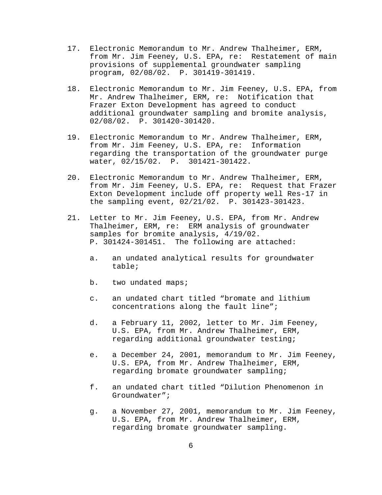- 17. Electronic Memorandum to Mr. Andrew Thalheimer, ERM, from Mr. Jim Feeney, U.S. EPA, re: Restatement of main provisions of supplemental groundwater sampling program, 02/08/02. P. 301419-301419.
- 18. Electronic Memorandum to Mr. Jim Feeney, U.S. EPA, from Mr. Andrew Thalheimer, ERM, re: Notification that Frazer Exton Development has agreed to conduct additional groundwater sampling and bromite analysis, 02/08/02. P. 301420-301420.
- 19. Electronic Memorandum to Mr. Andrew Thalheimer, ERM, from Mr. Jim Feeney, U.S. EPA, re: Information regarding the transportation of the groundwater purge water, 02/15/02. P. 301421-301422.
- 20. Electronic Memorandum to Mr. Andrew Thalheimer, ERM, from Mr. Jim Feeney, U.S. EPA, re: Request that Frazer Exton Development include off property well Res-17 in the sampling event, 02/21/02. P. 301423-301423.
- 21. Letter to Mr. Jim Feeney, U.S. EPA, from Mr. Andrew Thalheimer, ERM, re: ERM analysis of groundwater samples for bromite analysis, 4/19/02. P. 301424-301451. The following are attached:
	- a. an undated analytical results for groundwater table;
	- b. two undated maps;
	- c. an undated chart titled "bromate and lithium concentrations along the fault line";
	- d. a February 11, 2002, letter to Mr. Jim Feeney, U.S. EPA, from Mr. Andrew Thalheimer, ERM, regarding additional groundwater testing;
	- e. a December 24, 2001, memorandum to Mr. Jim Feeney, U.S. EPA, from Mr. Andrew Thalheimer, ERM, regarding bromate groundwater sampling;
	- f. an undated chart titled "Dilution Phenomenon in Groundwater";
	- g. a November 27, 2001, memorandum to Mr. Jim Feeney, U.S. EPA, from Mr. Andrew Thalheimer, ERM, regarding bromate groundwater sampling.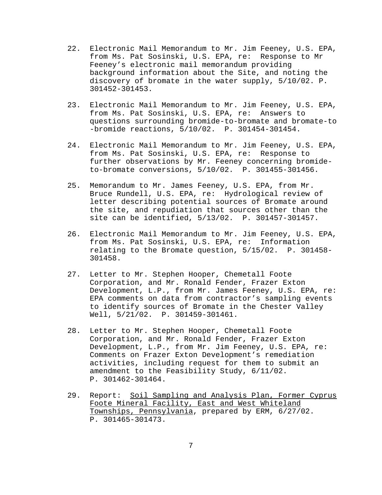- 22. Electronic Mail Memorandum to Mr. Jim Feeney, U.S. EPA, from Ms. Pat Sosinski, U.S. EPA, re: Response to Mr Feeney's electronic mail memorandum providing background information about the Site, and noting the discovery of bromate in the water supply, 5/10/02. P. 301452-301453.
- 23. Electronic Mail Memorandum to Mr. Jim Feeney, U.S. EPA, from Ms. Pat Sosinski, U.S. EPA, re: Answers to questions surrounding bromide-to-bromate and bromate-to -bromide reactions, 5/10/02. P. 301454-301454.
- 24. Electronic Mail Memorandum to Mr. Jim Feeney, U.S. EPA, from Ms. Pat Sosinski, U.S. EPA, re: Response to further observations by Mr. Feeney concerning bromideto-bromate conversions, 5/10/02. P. 301455-301456.
- 25. Memorandum to Mr. James Feeney, U.S. EPA, from Mr. Bruce Rundell, U.S. EPA, re: Hydrological review of letter describing potential sources of Bromate around the site, and repudiation that sources other than the site can be identified, 5/13/02. P. 301457-301457.
- 26. Electronic Mail Memorandum to Mr. Jim Feeney, U.S. EPA, from Ms. Pat Sosinski, U.S. EPA, re: Information relating to the Bromate question, 5/15/02. P. 301458- 301458.
- 27. Letter to Mr. Stephen Hooper, Chemetall Foote Corporation, and Mr. Ronald Fender, Frazer Exton Development, L.P., from Mr. James Feeney, U.S. EPA, re: EPA comments on data from contractor's sampling events to identify sources of Bromate in the Chester Valley Well, 5/21/02. P. 301459-301461.
- 28. Letter to Mr. Stephen Hooper, Chemetall Foote Corporation, and Mr. Ronald Fender, Frazer Exton Development, L.P., from Mr. Jim Feeney, U.S. EPA, re: Comments on Frazer Exton Development's remediation activities, including request for them to submit an amendment to the Feasibility Study, 6/11/02. P. 301462-301464.
- 29. Report: Soil Sampling and Analysis Plan, Former Cyprus Foote Mineral Facility, East and West Whiteland Townships, Pennsylvania, prepared by ERM, 6/27/02. P. 301465-301473.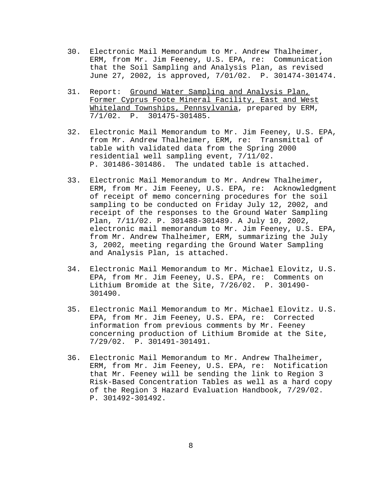- 30. Electronic Mail Memorandum to Mr. Andrew Thalheimer, ERM, from Mr. Jim Feeney, U.S. EPA, re: Communication that the Soil Sampling and Analysis Plan, as revised June 27, 2002, is approved, 7/01/02. P. 301474-301474.
- 31. Report: Ground Water Sampling and Analysis Plan, Former Cyprus Foote Mineral Facility, East and West Whiteland Townships, Pennsylvania, prepared by ERM, 7/1/02. P. 301475-301485.
- 32. Electronic Mail Memorandum to Mr. Jim Feeney, U.S. EPA, from Mr. Andrew Thalheimer, ERM, re: Transmittal of table with validated data from the Spring 2000 residential well sampling event, 7/11/02. P. 301486-301486. The undated table is attached.
- 33. Electronic Mail Memorandum to Mr. Andrew Thalheimer, ERM, from Mr. Jim Feeney, U.S. EPA, re: Acknowledgment of receipt of memo concerning procedures for the soil sampling to be conducted on Friday July 12, 2002, and receipt of the responses to the Ground Water Sampling Plan, 7/11/02. P. 301488-301489. A July 10, 2002, electronic mail memorandum to Mr. Jim Feeney, U.S. EPA, from Mr. Andrew Thalheimer, ERM, summarizing the July 3, 2002, meeting regarding the Ground Water Sampling and Analysis Plan, is attached.
- 34. Electronic Mail Memorandum to Mr. Michael Elovitz, U.S. EPA, from Mr. Jim Feeney, U.S. EPA, re: Comments on Lithium Bromide at the Site, 7/26/02. P. 301490- 301490.
- 35. Electronic Mail Memorandum to Mr. Michael Elovitz. U.S. EPA, from Mr. Jim Feeney, U.S. EPA, re: Corrected information from previous comments by Mr. Feeney concerning production of Lithium Bromide at the Site, 7/29/02. P. 301491-301491.
- 36. Electronic Mail Memorandum to Mr. Andrew Thalheimer, ERM, from Mr. Jim Feeney, U.S. EPA, re: Notification that Mr. Feeney will be sending the link to Region 3 Risk-Based Concentration Tables as well as a hard copy of the Region 3 Hazard Evaluation Handbook, 7/29/02. P. 301492-301492.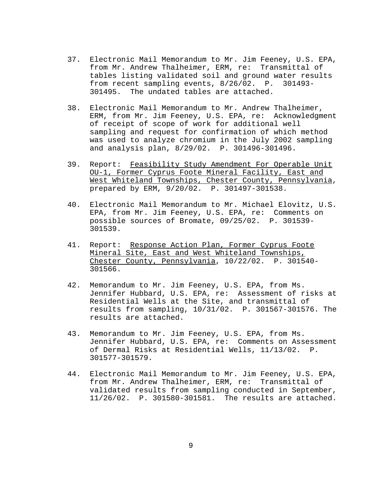- 37. Electronic Mail Memorandum to Mr. Jim Feeney, U.S. EPA, from Mr. Andrew Thalheimer, ERM, re: Transmittal of tables listing validated soil and ground water results from recent sampling events, 8/26/02. P. 301493- 301495. The undated tables are attached.
- 38. Electronic Mail Memorandum to Mr. Andrew Thalheimer, ERM, from Mr. Jim Feeney, U.S. EPA, re: Acknowledgment of receipt of scope of work for additional well sampling and request for confirmation of which method was used to analyze chromium in the July 2002 sampling and analysis plan, 8/29/02. P. 301496-301496.
- 39. Report: Feasibility Study Amendment For Operable Unit OU-1, Former Cyprus Foote Mineral Facility, East and West Whiteland Townships, Chester County, Pennsylvania, prepared by ERM, 9/20/02. P. 301497-301538.
- 40. Electronic Mail Memorandum to Mr. Michael Elovitz, U.S. EPA, from Mr. Jim Feeney, U.S. EPA, re: Comments on possible sources of Bromate, 09/25/02. P. 301539- 301539.
- 41. Report: Response Action Plan, Former Cyprus Foote Mineral Site, East and West Whiteland Townships, Chester County, Pennsylvania, 10/22/02. P. 301540- 301566.
- 42. Memorandum to Mr. Jim Feeney, U.S. EPA, from Ms. Jennifer Hubbard, U.S. EPA, re: Assessment of risks at Residential Wells at the Site, and transmittal of results from sampling, 10/31/02. P. 301567-301576. The results are attached.
- 43. Memorandum to Mr. Jim Feeney, U.S. EPA, from Ms. Jennifer Hubbard, U.S. EPA, re: Comments on Assessment of Dermal Risks at Residential Wells, 11/13/02. P. 301577-301579.
- 44. Electronic Mail Memorandum to Mr. Jim Feeney, U.S. EPA, from Mr. Andrew Thalheimer, ERM, re: Transmittal of validated results from sampling conducted in September, 11/26/02. P. 301580-301581. The results are attached.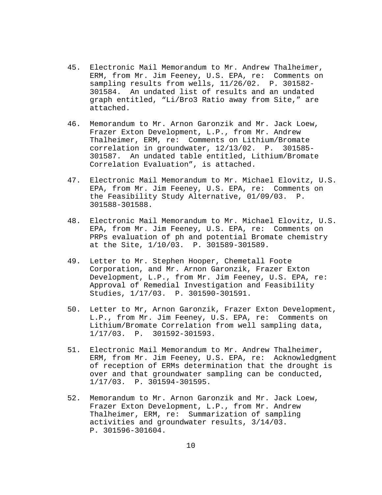- 45. Electronic Mail Memorandum to Mr. Andrew Thalheimer, ERM, from Mr. Jim Feeney, U.S. EPA, re: Comments on sampling results from wells, 11/26/02. P. 301582- 301584. An undated list of results and an undated graph entitled, "Li/Bro3 Ratio away from Site," are attached.
- 46. Memorandum to Mr. Arnon Garonzik and Mr. Jack Loew, Frazer Exton Development, L.P., from Mr. Andrew Thalheimer, ERM, re: Comments on Lithium/Bromate correlation in groundwater, 12/13/02. P. 301585- 301587. An undated table entitled, Lithium/Bromate Correlation Evaluation", is attached.
- 47. Electronic Mail Memorandum to Mr. Michael Elovitz, U.S. EPA, from Mr. Jim Feeney, U.S. EPA, re: Comments on the Feasibility Study Alternative, 01/09/03. P. 301588-301588.
- 48. Electronic Mail Memorandum to Mr. Michael Elovitz, U.S. EPA, from Mr. Jim Feeney, U.S. EPA, re: Comments on PRPs evaluation of ph and potential Bromate chemistry at the Site, 1/10/03. P. 301589-301589.
- 49. Letter to Mr. Stephen Hooper, Chemetall Foote Corporation, and Mr. Arnon Garonzik, Frazer Exton Development, L.P., from Mr. Jim Feeney, U.S. EPA, re: Approval of Remedial Investigation and Feasibility Studies, 1/17/03. P. 301590-301591.
- 50. Letter to Mr, Arnon Garonzik, Frazer Exton Development, L.P., from Mr. Jim Feeney, U.S. EPA, re: Comments on Lithium/Bromate Correlation from well sampling data, 1/17/03. P. 301592-301593.
- 51. Electronic Mail Memorandum to Mr. Andrew Thalheimer, ERM, from Mr. Jim Feeney, U.S. EPA, re: Acknowledgment of reception of ERMs determination that the drought is over and that groundwater sampling can be conducted, 1/17/03. P. 301594-301595.
- 52. Memorandum to Mr. Arnon Garonzik and Mr. Jack Loew, Frazer Exton Development, L.P., from Mr. Andrew Thalheimer, ERM, re: Summarization of sampling activities and groundwater results, 3/14/03. P. 301596-301604.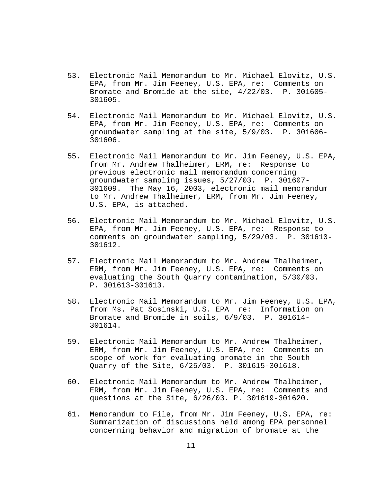- 53. Electronic Mail Memorandum to Mr. Michael Elovitz, U.S. EPA, from Mr. Jim Feeney, U.S. EPA, re: Comments on Bromate and Bromide at the site, 4/22/03. P. 301605- 301605.
- 54. Electronic Mail Memorandum to Mr. Michael Elovitz, U.S. EPA, from Mr. Jim Feeney, U.S. EPA, re: Comments on groundwater sampling at the site, 5/9/03. P. 301606- 301606.
- 55. Electronic Mail Memorandum to Mr. Jim Feeney, U.S. EPA, from Mr. Andrew Thalheimer, ERM, re: Response to previous electronic mail memorandum concerning groundwater sampling issues, 5/27/03. P. 301607- 301609. The May 16, 2003, electronic mail memorandum to Mr. Andrew Thalheimer, ERM, from Mr. Jim Feeney, U.S. EPA, is attached.
- 56. Electronic Mail Memorandum to Mr. Michael Elovitz, U.S. EPA, from Mr. Jim Feeney, U.S. EPA, re: Response to comments on groundwater sampling, 5/29/03. P. 301610- 301612.
- 57. Electronic Mail Memorandum to Mr. Andrew Thalheimer, ERM, from Mr. Jim Feeney, U.S. EPA, re: Comments on evaluating the South Quarry contamination, 5/30/03. P. 301613-301613.
- 58. Electronic Mail Memorandum to Mr. Jim Feeney, U.S. EPA, from Ms. Pat Sosinski, U.S. EPA re: Information on Bromate and Bromide in soils, 6/9/03. P. 301614- 301614.
- 59. Electronic Mail Memorandum to Mr. Andrew Thalheimer, ERM, from Mr. Jim Feeney, U.S. EPA, re: Comments on scope of work for evaluating bromate in the South Quarry of the Site, 6/25/03. P. 301615-301618.
- 60. Electronic Mail Memorandum to Mr. Andrew Thalheimer, ERM, from Mr. Jim Feeney, U.S. EPA, re: Comments and questions at the Site, 6/26/03. P. 301619-301620.
- 61. Memorandum to File, from Mr. Jim Feeney, U.S. EPA, re: Summarization of discussions held among EPA personnel concerning behavior and migration of bromate at the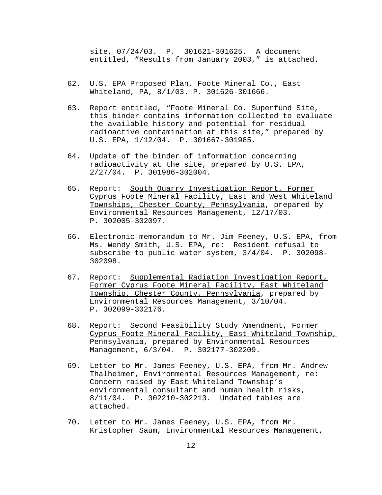site, 07/24/03. P. 301621-301625. A document entitled, "Results from January 2003," is attached.

- 62. U.S. EPA Proposed Plan, Foote Mineral Co., East Whiteland, PA, 8/1/03. P. 301626-301666.
- 63. Report entitled, "Foote Mineral Co. Superfund Site, this binder contains information collected to evaluate the available history and potential for residual radioactive contamination at this site," prepared by U.S. EPA, 1/12/04. P. 301667-301985.
- 64. Update of the binder of information concerning radioactivity at the site, prepared by U.S. EPA, 2/27/04. P. 301986-302004.
- 65. Report: South Quarry Investigation Report, Former Cyprus Foote Mineral Facility, East and West Whiteland Townships, Chester County, Pennsylvania, prepared by Environmental Resources Management, 12/17/03. P. 302005-302097.
- 66. Electronic memorandum to Mr. Jim Feeney, U.S. EPA, from Ms. Wendy Smith, U.S. EPA, re: Resident refusal to subscribe to public water system, 3/4/04. P. 302098- 302098.
- 67. Report: Supplemental Radiation Investigation Report, Former Cyprus Foote Mineral Facility, East Whiteland Township, Chester County, Pennsylvania, prepared by Environmental Resources Management, 3/10/04. P. 302099-302176.
- 68. Report: Second Feasibility Study Amendment, Former Cyprus Foote Mineral Facility, East Whiteland Township, Pennsylvania, prepared by Environmental Resources Management, 6/3/04. P. 302177-302209.
- 69. Letter to Mr. James Feeney, U.S. EPA, from Mr. Andrew Thalheimer, Environmental Resources Management, re: Concern raised by East Whiteland Township's environmental consultant and human health risks, 8/11/04. P. 302210-302213. Undated tables are attached.
- 70. Letter to Mr. James Feeney, U.S. EPA, from Mr. Kristopher Saum, Environmental Resources Management,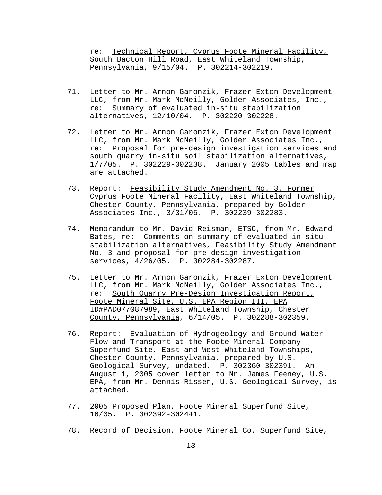re: Technical Report, Cyprus Foote Mineral Facility, South Bacton Hill Road, East Whiteland Township, Pennsylvania, 9/15/04. P. 302214-302219.

- 71. Letter to Mr. Arnon Garonzik, Frazer Exton Development LLC, from Mr. Mark McNeilly, Golder Associates, Inc., re: Summary of evaluated in-situ stabilization alternatives, 12/10/04. P. 302220-302228.
- 72. Letter to Mr. Arnon Garonzik, Frazer Exton Development LLC, from Mr. Mark McNeilly, Golder Associates Inc., re: Proposal for pre-design investigation services and south quarry in-situ soil stabilization alternatives, 1/7/05. P. 302229-302238. January 2005 tables and map are attached.
- 73. Report: Feasibility Study Amendment No. 3, Former Cyprus Foote Mineral Facility, East Whiteland Township, Chester County, Pennsylvania, prepared by Golder Associates Inc., 3/31/05. P. 302239-302283.
- 74. Memorandum to Mr. David Reisman, ETSC, from Mr. Edward Bates, re: Comments on summary of evaluated in-situ stabilization alternatives, Feasibility Study Amendment No. 3 and proposal for pre-design investigation services, 4/26/05. P. 302284-302287.
- 75. Letter to Mr. Arnon Garonzik, Frazer Exton Development LLC, from Mr. Mark McNeilly, Golder Associates Inc., re: South Quarry Pre-Design Investigation Report, Foote Mineral Site, U.S. EPA Region III, EPA ID#PAD077087989, East Whiteland Township, Chester County, Pennsylvania, 6/14/05. P. 302288-302359.
- 76. Report: Evaluation of Hydrogeology and Ground-Water Flow and Transport at the Foote Mineral Company Superfund Site, East and West Whiteland Townships, Chester County, Pennsylvania, prepared by U.S. Geological Survey, undated. P. 302360-302391. An August 1, 2005 cover letter to Mr. James Feeney, U.S. EPA, from Mr. Dennis Risser, U.S. Geological Survey, is attached.
- 77. 2005 Proposed Plan, Foote Mineral Superfund Site, 10/05. P. 302392-302441.
- 78. Record of Decision, Foote Mineral Co. Superfund Site,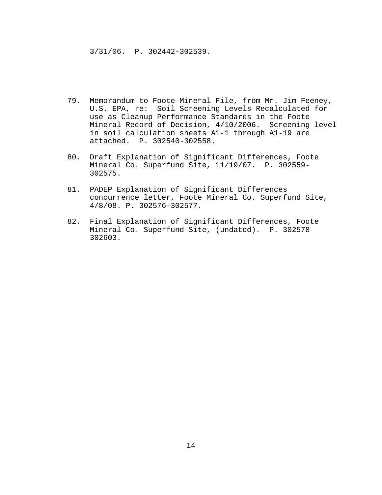3/31/06. P. 302442-302539.

- 79. Memorandum to Foote Mineral File, from Mr. Jim Feeney, U.S. EPA, re: Soil Screening Levels Recalculated for use as Cleanup Performance Standards in the Foote Mineral Record of Decision, 4/10/2006. Screening level in soil calculation sheets A1-1 through A1-19 are attached. P. 302540-302558.
- 80. Draft Explanation of Significant Differences, Foote Mineral Co. Superfund Site, 11/19/07. P. 302559- 302575.
- 81. PADEP Explanation of Significant Differences concurrence letter, Foote Mineral Co. Superfund Site, 4/8/08. P. 302576-302577.
- 82. Final Explanation of Significant Differences, Foote Mineral Co. Superfund Site, (undated). P. 302578- 302603.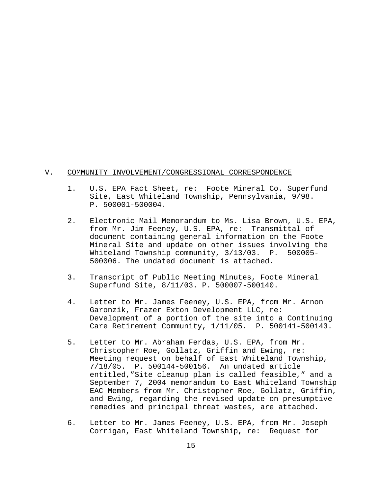### V. COMMUNITY INVOLVEMENT/CONGRESSIONAL CORRESPONDENCE

- 1. U.S. EPA Fact Sheet, re: Foote Mineral Co. Superfund Site, East Whiteland Township, Pennsylvania, 9/98. P. 500001-500004.
- 2. Electronic Mail Memorandum to Ms. Lisa Brown, U.S. EPA, from Mr. Jim Feeney, U.S. EPA, re: Transmittal of document containing general information on the Foote Mineral Site and update on other issues involving the Whiteland Township community, 3/13/03. P. 500005- 500006. The undated document is attached.
- 3. Transcript of Public Meeting Minutes, Foote Mineral Superfund Site, 8/11/03. P. 500007-500140.
- 4. Letter to Mr. James Feeney, U.S. EPA, from Mr. Arnon Garonzik, Frazer Exton Development LLC, re: Development of a portion of the site into a Continuing Care Retirement Community, 1/11/05. P. 500141-500143.
- 5. Letter to Mr. Abraham Ferdas, U.S. EPA, from Mr. Christopher Roe, Gollatz, Griffin and Ewing, re: Meeting request on behalf of East Whiteland Township, 7/18/05. P. 500144-500156. An undated article entitled,"Site cleanup plan is called feasible," and a September 7, 2004 memorandum to East Whiteland Township EAC Members from Mr. Christopher Roe, Gollatz, Griffin, and Ewing, regarding the revised update on presumptive remedies and principal threat wastes, are attached.
- 6. Letter to Mr. James Feeney, U.S. EPA, from Mr. Joseph Corrigan, East Whiteland Township, re: Request for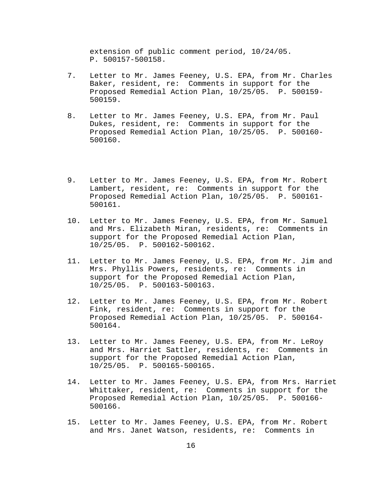extension of public comment period, 10/24/05. P. 500157-500158.

- 7. Letter to Mr. James Feeney, U.S. EPA, from Mr. Charles Baker, resident, re: Comments in support for the Proposed Remedial Action Plan, 10/25/05. P. 500159- 500159.
- 8. Letter to Mr. James Feeney, U.S. EPA, from Mr. Paul Dukes, resident, re: Comments in support for the Proposed Remedial Action Plan, 10/25/05. P. 500160- 500160.
- 9. Letter to Mr. James Feeney, U.S. EPA, from Mr. Robert Lambert, resident, re: Comments in support for the Proposed Remedial Action Plan, 10/25/05. P. 500161- 500161.
- 10. Letter to Mr. James Feeney, U.S. EPA, from Mr. Samuel and Mrs. Elizabeth Miran, residents, re: Comments in support for the Proposed Remedial Action Plan, 10/25/05. P. 500162-500162.
- 11. Letter to Mr. James Feeney, U.S. EPA, from Mr. Jim and Mrs. Phyllis Powers, residents, re: Comments in support for the Proposed Remedial Action Plan, 10/25/05. P. 500163-500163.
- 12. Letter to Mr. James Feeney, U.S. EPA, from Mr. Robert Fink, resident, re: Comments in support for the Proposed Remedial Action Plan, 10/25/05. P. 500164- 500164.
- 13. Letter to Mr. James Feeney, U.S. EPA, from Mr. LeRoy and Mrs. Harriet Sattler, residents, re: Comments in support for the Proposed Remedial Action Plan, 10/25/05. P. 500165-500165.
- 14. Letter to Mr. James Feeney, U.S. EPA, from Mrs. Harriet Whittaker, resident, re: Comments in support for the Proposed Remedial Action Plan, 10/25/05. P. 500166- 500166.
- 15. Letter to Mr. James Feeney, U.S. EPA, from Mr. Robert and Mrs. Janet Watson, residents, re: Comments in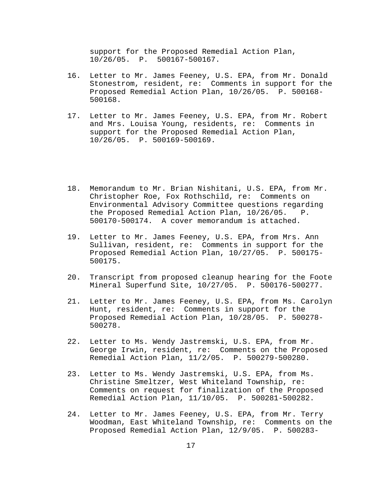support for the Proposed Remedial Action Plan, 10/26/05. P. 500167-500167.

- 16. Letter to Mr. James Feeney, U.S. EPA, from Mr. Donald Stonestrom, resident, re: Comments in support for the Proposed Remedial Action Plan, 10/26/05. P. 500168- 500168.
- 17. Letter to Mr. James Feeney, U.S. EPA, from Mr. Robert and Mrs. Louisa Young, residents, re: Comments in support for the Proposed Remedial Action Plan, 10/26/05. P. 500169-500169.
- 18. Memorandum to Mr. Brian Nishitani, U.S. EPA, from Mr. Christopher Roe, Fox Rothschild, re: Comments on Environmental Advisory Committee questions regarding the Proposed Remedial Action Plan, 10/26/05. P. 500170-500174. A cover memorandum is attached.
- 19. Letter to Mr. James Feeney, U.S. EPA, from Mrs. Ann Sullivan, resident, re: Comments in support for the Proposed Remedial Action Plan, 10/27/05. P. 500175- 500175.
- 20. Transcript from proposed cleanup hearing for the Foote Mineral Superfund Site, 10/27/05. P. 500176-500277.
- 21. Letter to Mr. James Feeney, U.S. EPA, from Ms. Carolyn Hunt, resident, re: Comments in support for the Proposed Remedial Action Plan, 10/28/05. P. 500278- 500278.
- 22. Letter to Ms. Wendy Jastremski, U.S. EPA, from Mr. George Irwin, resident, re: Comments on the Proposed Remedial Action Plan, 11/2/05. P. 500279-500280.
- 23. Letter to Ms. Wendy Jastremski, U.S. EPA, from Ms. Christine Smeltzer, West Whiteland Township, re: Comments on request for finalization of the Proposed Remedial Action Plan, 11/10/05. P. 500281-500282.
- 24. Letter to Mr. James Feeney, U.S. EPA, from Mr. Terry Woodman, East Whiteland Township, re: Comments on the Proposed Remedial Action Plan, 12/9/05. P. 500283-